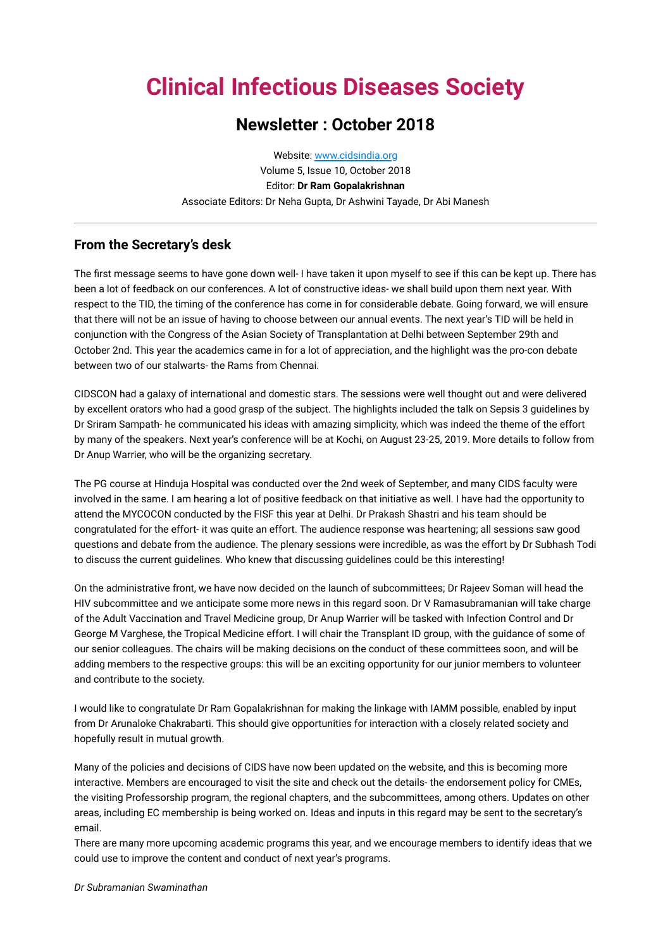# **Clinical Infectious Diseases Society**

## **Newsletter : October 2018**

Website: [www.cidsindia.org](http://www.cidsindia.org/) Volume 5, Issue 10, October 2018 Editor: **Dr Ram Gopalakrishnan** Associate Editors: Dr Neha Gupta, Dr Ashwini Tayade, Dr Abi Manesh

#### **From the Secretary's desk**

The first message seems to have gone down well- I have taken it upon myself to see if this can be kept up. There has been a lot of feedback on our conferences. A lot of constructive ideas- we shall build upon them next year. With respect to the TID, the timing of the conference has come in for considerable debate. Going forward, we will ensure that there will not be an issue of having to choose between our annual events. The next year's TID will be held in conjunction with the Congress of the Asian Society of Transplantation at Delhi between September 29th and October 2nd. This year the academics came in for a lot of appreciation, and the highlight was the pro-con debate between two of our stalwarts- the Rams from Chennai.

CIDSCON had a galaxy of international and domestic stars. The sessions were well thought out and were delivered by excellent orators who had a good grasp of the subject. The highlights included the talk on Sepsis 3 guidelines by Dr Sriram Sampath- he communicated his ideas with amazing simplicity, which was indeed the theme of the effort by many of the speakers. Next year's conference will be at Kochi, on August 23-25, 2019. More details to follow from Dr Anup Warrier, who will be the organizing secretary.

The PG course at Hinduja Hospital was conducted over the 2nd week of September, and many CIDS faculty were involved in the same. I am hearing a lot of positive feedback on that initiative as well. I have had the opportunity to attend the MYCOCON conducted by the FISF this year at Delhi. Dr Prakash Shastri and his team should be congratulated for the effort- it was quite an effort. The audience response was heartening; all sessions saw good questions and debate from the audience. The plenary sessions were incredible, as was the effort by Dr Subhash Todi to discuss the current guidelines. Who knew that discussing guidelines could be this interesting!

On the administrative front, we have now decided on the launch of subcommittees; Dr Rajeev Soman will head the HIV subcommittee and we anticipate some more news in this regard soon. Dr V Ramasubramanian will take charge of the Adult Vaccination and Travel Medicine group, Dr Anup Warrier will be tasked with Infection Control and Dr George M Varghese, the Tropical Medicine effort. I will chair the Transplant ID group, with the guidance of some of our senior colleagues. The chairs will be making decisions on the conduct of these committees soon, and will be adding members to the respective groups: this will be an exciting opportunity for our junior members to volunteer and contribute to the society.

I would like to congratulate Dr Ram Gopalakrishnan for making the linkage with IAMM possible, enabled by input from Dr Arunaloke Chakrabarti. This should give opportunities for interaction with a closely related society and hopefully result in mutual growth.

Many of the policies and decisions of CIDS have now been updated on the website, and this is becoming more interactive. Members are encouraged to visit the site and check out the details- the endorsement policy for CMEs, the visiting Professorship program, the regional chapters, and the subcommittees, among others. Updates on other areas, including EC membership is being worked on. Ideas and inputs in this regard may be sent to the secretary's email.

There are many more upcoming academic programs this year, and we encourage members to identify ideas that we could use to improve the content and conduct of next year's programs.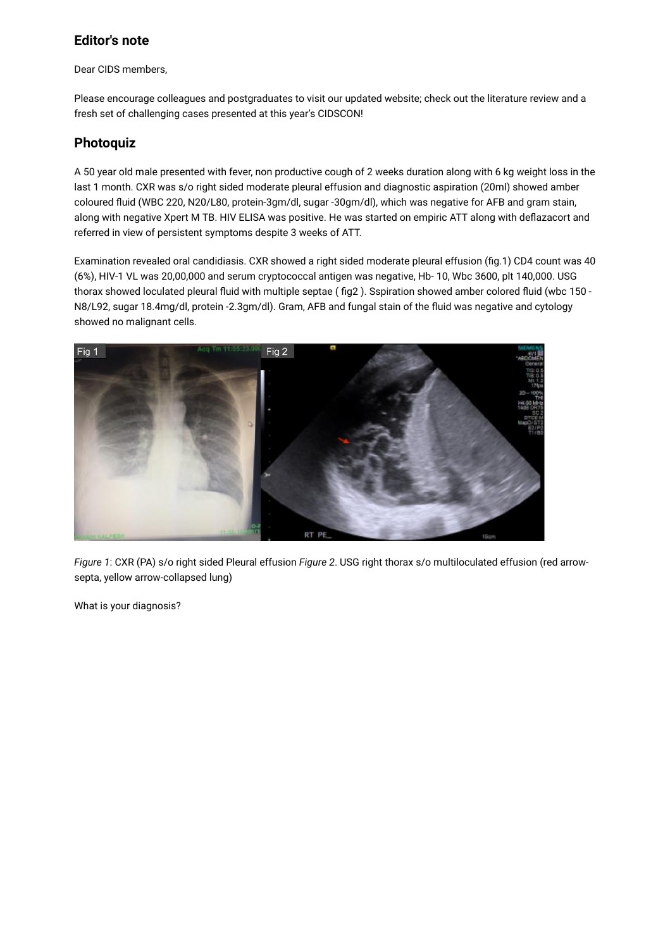### **Editor's note**

Dear CIDS members,

Please encourage colleagues and postgraduates to visit our updated website; check out the literature review and a fresh set of challenging cases presented at this year's CIDSCON!

### **Photoquiz**

A 50 year old male presented with fever, non productive cough of 2 weeks duration along with 6 kg weight loss in the last 1 month. CXR was s/o right sided moderate pleural effusion and diagnostic aspiration (20ml) showed amber coloured fluid (WBC 220, N20/L80, protein-3gm/dl, sugar -30gm/dl), which was negative for AFB and gram stain, along with negative Xpert M TB. HIV ELISA was positive. He was started on empiric ATT along with deflazacort and referred in view of persistent symptoms despite 3 weeks of ATT.

Examination revealed oral candidiasis. CXR showed a right sided moderate pleural effusion (fig.1) CD4 count was 40 (6%), HIV-1 VL was 20,00,000 and serum cryptococcal antigen was negative, Hb- 10, Wbc 3600, plt 140,000. USG thorax showed loculated pleural fluid with multiple septae ( fig2 ). Sspiration showed amber colored fluid (wbc 150 - N8/L92, sugar 18.4mg/dl, protein -2.3gm/dl). Gram, AFB and fungal stain of the fluid was negative and cytology showed no malignant cells.



*Figure 1*: CXR (PA) s/o right sided Pleural effusion *Figure 2*. USG right thorax s/o multiloculated effusion (red arrowsepta, yellow arrow-collapsed lung)

What is your diagnosis?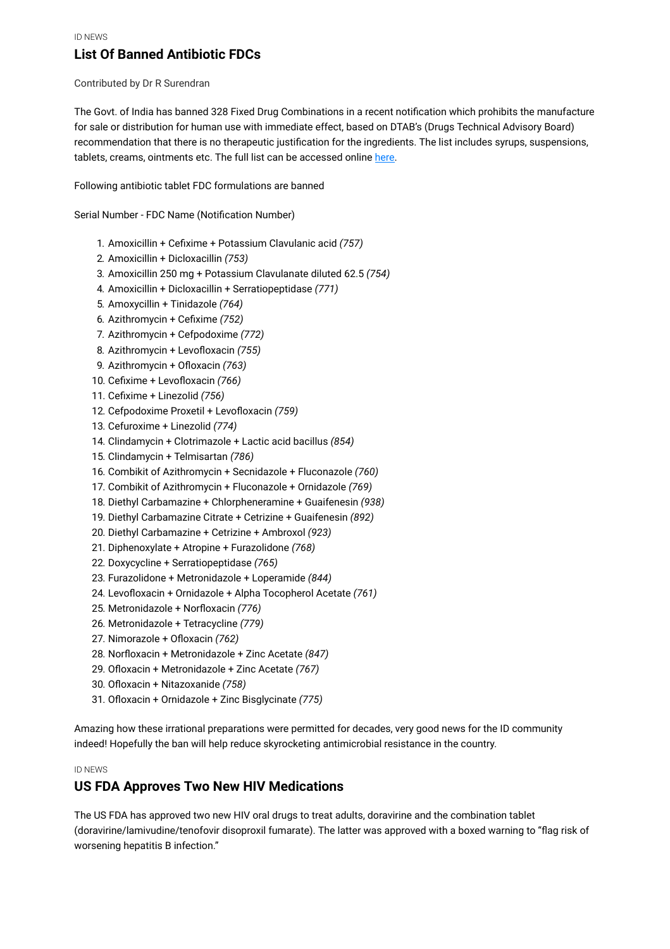### **List Of Banned Antibiotic FDCs**

Contributed by Dr R Surendran

The Govt. of India has banned 328 Fixed Drug Combinations in a recent notification which prohibits the manufacture for sale or distribution for human use with immediate effect, based on DTAB's (Drugs Technical Advisory Board) recommendation that there is no therapeutic justification for the ingredients. The list includes syrups, suspensions, tablets, creams, ointments etc. The full list can be accessed online [here](http://www.cdsco.nic.in/writereaddata/2018_09_07_S_O_%204379(E)%20to.pdf).

Following antibiotic tablet FDC formulations are banned

Serial Number - FDC Name (Notification Number)

- 1. Amoxicillin + Cefixime + Potassium Clavulanic acid *(757)*
- 2. Amoxicillin + Dicloxacillin *(753)*
- 3. Amoxicillin 250 mg + Potassium Clavulanate diluted 62.5 *(754)*
- 4. Amoxicillin + Dicloxacillin + Serratiopeptidase *(771)*
- 5. Amoxycillin + Tinidazole *(764)*
- 6. Azithromycin + Cefixime *(752)*
- 7. Azithromycin + Cefpodoxime *(772)*
- 8. Azithromycin + Levofloxacin *(755)*
- 9. Azithromycin + Ofloxacin *(763)*
- 10. Cefixime + Levofloxacin *(766)*
- 11. Cefixime + Linezolid *(756)*
- 12. Cefpodoxime Proxetil + Levofloxacin *(759)*
- 13. Cefuroxime + Linezolid *(774)*
- 14. Clindamycin + Clotrimazole + Lactic acid bacillus *(854)*
- 15. Clindamycin + Telmisartan *(786)*
- 16. Combikit of Azithromycin + Secnidazole + Fluconazole *(760)*
- 17. Combikit of Azithromycin + Fluconazole + Ornidazole *(769)*
- 18. Diethyl Carbamazine + Chlorpheneramine + Guaifenesin *(938)*
- 19. Diethyl Carbamazine Citrate + Cetrizine + Guaifenesin *(892)*
- 20. Diethyl Carbamazine + Cetrizine + Ambroxol *(923)*
- 21. Diphenoxylate + Atropine + Furazolidone *(768)*
- 22. Doxycycline + Serratiopeptidase *(765)*
- 23. Furazolidone + Metronidazole + Loperamide *(844)*
- 24. Levofloxacin + Ornidazole + Alpha Tocopherol Acetate *(761)*
- 25. Metronidazole + Norfloxacin *(776)*
- 26. Metronidazole + Tetracycline *(779)*
- 27. Nimorazole + Ofloxacin *(762)*
- 28. Norfloxacin + Metronidazole + Zinc Acetate *(847)*
- 29. Ofloxacin + Metronidazole + Zinc Acetate *(767)*
- 30. Ofloxacin + Nitazoxanide *(758)*
- 31. Ofloxacin + Ornidazole + Zinc Bisglycinate *(775)*

Amazing how these irrational preparations were permitted for decades, very good news for the ID community indeed! Hopefully the ban will help reduce skyrocketing antimicrobial resistance in the country.

#### ID NEWS

#### **US FDA Approves Two New HIV Medications**

The US FDA has approved two new HIV oral drugs to treat adults, doravirine and the combination tablet (doravirine/lamivudine/tenofovir disoproxil fumarate). The latter was approved with a boxed warning to "flag risk of worsening hepatitis B infection."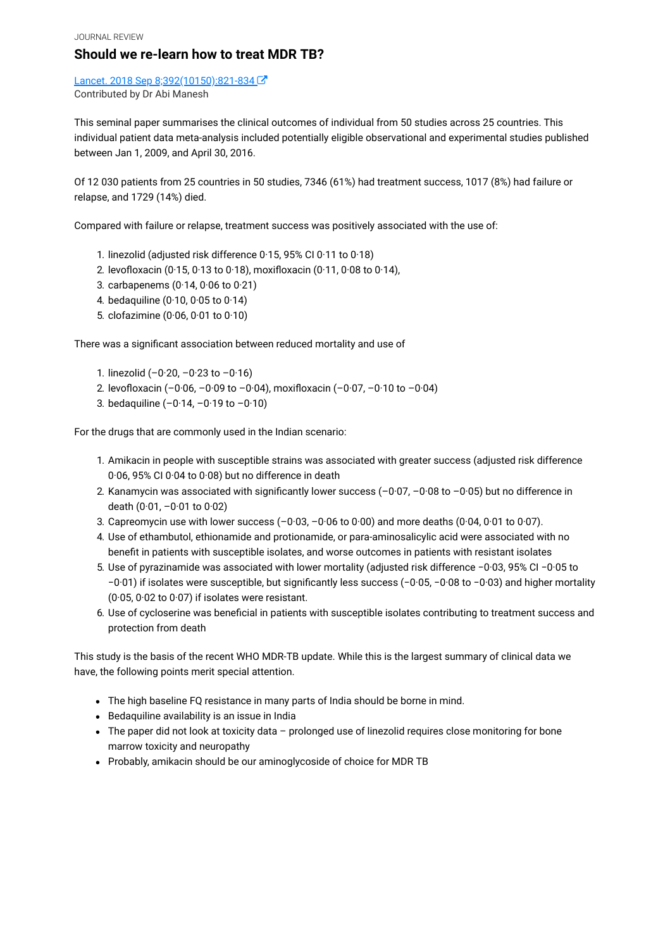JOURNAL REVIEW

#### **Should we re-learn how to treat MDR TB?**

Lancet. 2018 Sep 8;392(10150):821-834 Contributed by Dr Abi Manesh

This seminal paper summarises the clinical outcomes of individual from 50 studies across 25 countries. This individual patient data meta-analysis included potentially eligible observational and experimental studies published between Jan 1, 2009, and April 30, 2016.

Of 12 030 patients from 25 countries in 50 studies, 7346 (61%) had treatment success, 1017 (8%) had failure or relapse, and 1729 (14%) died.

Compared with failure or relapse, treatment success was positively associated with the use of:

- 1. linezolid (adjusted risk difference 0·15, 95% CI 0·11 to 0·18)
- 2. levofloxacin (0·15, 0·13 to 0·18), moxifloxacin (0·11, 0·08 to 0·14),
- 3. carbapenems (0·14, 0·06 to 0·21)
- 4. bedaquiline (0·10, 0·05 to 0·14)
- 5. clofazimine (0·06, 0·01 to 0·10)

There was a significant association between reduced mortality and use of

- 1. linezolid  $(-0.20, -0.23$  to  $-0.16)$
- 2. levofloxacin (–0·06, –0·09 to –0·04), moxifloxacin (–0·07, –0·10 to –0·04)
- 3. bedaquiline  $(-0.14, -0.19$  to  $-0.10)$

For the drugs that are commonly used in the Indian scenario:

- 1. Amikacin in people with susceptible strains was associated with greater success (adjusted risk difference 0·06, 95% CI 0·04 to 0·08) but no difference in death
- 2. Kanamycin was associated with significantly lower success (–0·07, –0·08 to –0·05) but no difference in death (0·01, –0·01 to 0·02)
- 3. Capreomycin use with lower success  $(-0.03, -0.06$  to  $0.00)$  and more deaths  $(0.04, 0.01$  to  $0.07)$ .
- 4. Use of ethambutol, ethionamide and protionamide, or para-aminosalicylic acid were associated with no benefit in patients with susceptible isolates, and worse outcomes in patients with resistant isolates
- 5. Use of pyrazinamide was associated with lower mortality (adjusted risk difference −0·03, 95% CI −0·05 to −0·01) if isolates were susceptible, but significantly less success (−0·05, −0·08 to −0·03) and higher mortality (0·05, 0·02 to 0·07) if isolates were resistant.
- 6. Use of cycloserine was beneficial in patients with susceptible isolates contributing to treatment success and protection from death

This study is the basis of the recent WHO MDR-TB update. While this is the largest summary of clinical data we have, the following points merit special attention.

- The high baseline FQ resistance in many parts of India should be borne in mind.
- Bedaquiline availability is an issue in India
- The paper did not look at toxicity data prolonged use of linezolid requires close monitoring for bone marrow toxicity and neuropathy
- Probably, amikacin should be our aminoglycoside of choice for MDR TB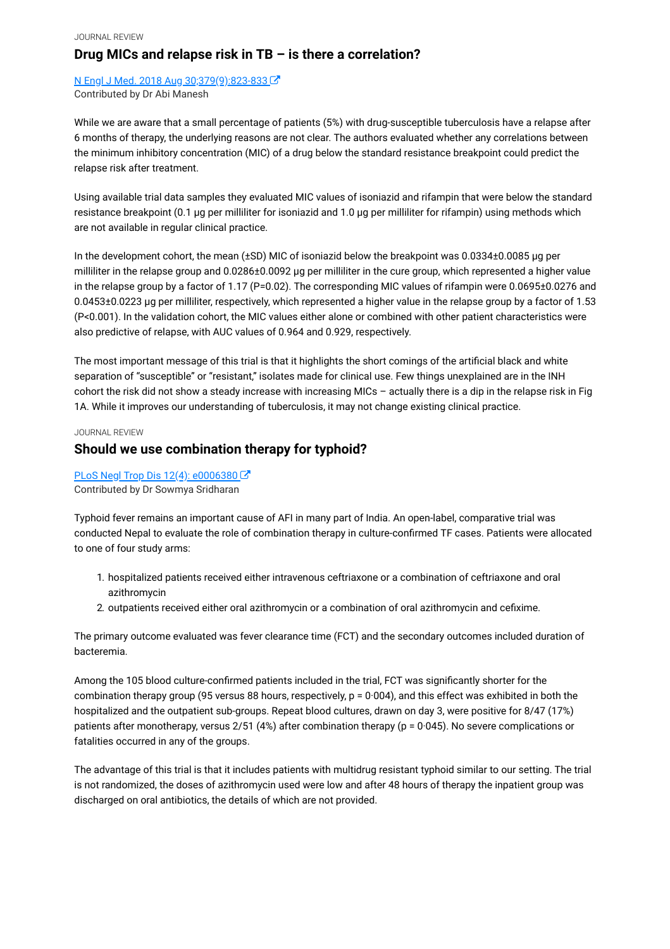[N Engl J Med. 2018 Aug 30;379\(9\):823-833](https://www.ncbi.nlm.nih.gov/pubmed/30157391)  Contributed by Dr Abi Manesh

While we are aware that a small percentage of patients (5%) with drug-susceptible tuberculosis have a relapse after 6 months of therapy, the underlying reasons are not clear. The authors evaluated whether any correlations between the minimum inhibitory concentration (MIC) of a drug below the standard resistance breakpoint could predict the relapse risk after treatment.

Using available trial data samples they evaluated MIC values of isoniazid and rifampin that were below the standard resistance breakpoint (0.1 μg per milliliter for isoniazid and 1.0 μg per milliliter for rifampin) using methods which are not available in regular clinical practice.

In the development cohort, the mean (±SD) MIC of isoniazid below the breakpoint was 0.0334±0.0085 μg per milliliter in the relapse group and 0.0286±0.0092 μg per milliliter in the cure group, which represented a higher value in the relapse group by a factor of 1.17 (P=0.02). The corresponding MIC values of rifampin were 0.0695±0.0276 and 0.0453±0.0223 μg per milliliter, respectively, which represented a higher value in the relapse group by a factor of 1.53 (P<0.001). In the validation cohort, the MIC values either alone or combined with other patient characteristics were also predictive of relapse, with AUC values of 0.964 and 0.929, respectively.

The most important message of this trial is that it highlights the short comings of the artificial black and white separation of "susceptible" or "resistant," isolates made for clinical use. Few things unexplained are in the INH cohort the risk did not show a steady increase with increasing MICs – actually there is a dip in the relapse risk in Fig 1A. While it improves our understanding of tuberculosis, it may not change existing clinical practice.

#### JOURNAL REVIEW

### **Should we use combination therapy for typhoid?**

#### PLoS Negl Trop Dis 12(4): e0006380 Contributed by Dr Sowmya Sridharan

Typhoid fever remains an important cause of AFI in many part of India. An open-label, comparative trial was conducted Nepal to evaluate the role of combination therapy in culture-confirmed TF cases. Patients were allocated to one of four study arms:

- 1. hospitalized patients received either intravenous ceftriaxone or a combination of ceftriaxone and oral azithromycin
- 2. outpatients received either oral azithromycin or a combination of oral azithromycin and cefixime.

The primary outcome evaluated was fever clearance time (FCT) and the secondary outcomes included duration of bacteremia.

Among the 105 blood culture-confirmed patients included in the trial, FCT was significantly shorter for the combination therapy group (95 versus 88 hours, respectively,  $p = 0.004$ ), and this effect was exhibited in both the hospitalized and the outpatient sub-groups. Repeat blood cultures, drawn on day 3, were positive for 8/47 (17%) patients after monotherapy, versus 2/51 (4%) after combination therapy (p = 0·045). No severe complications or fatalities occurred in any of the groups.

The advantage of this trial is that it includes patients with multidrug resistant typhoid similar to our setting. The trial is not randomized, the doses of azithromycin used were low and after 48 hours of therapy the inpatient group was discharged on oral antibiotics, the details of which are not provided.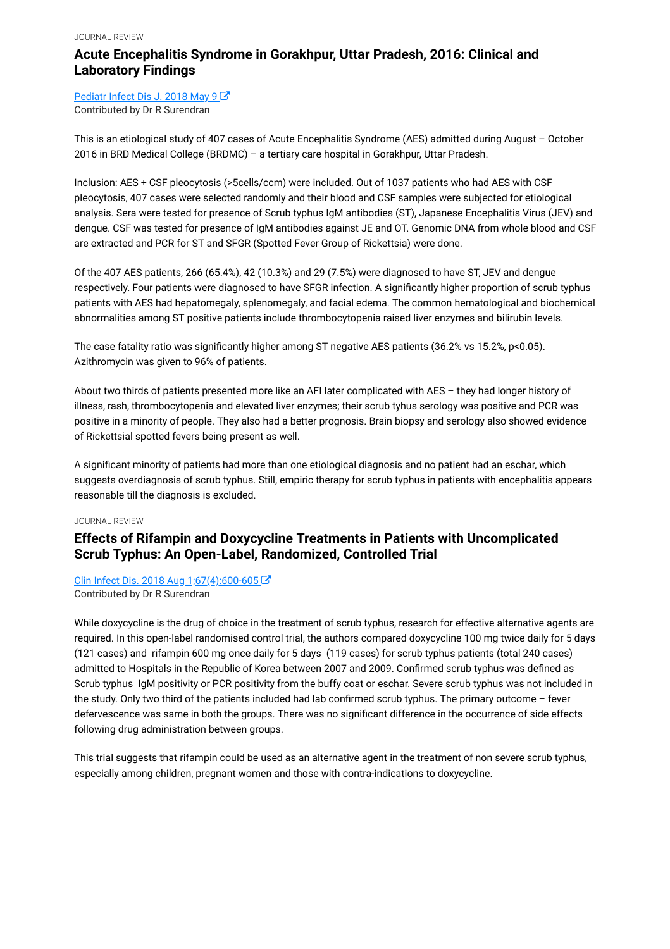#### JOURNAL REVIEW

### **Acute Encephalitis Syndrome in Gorakhpur, Uttar Pradesh, 2016: Clinical and Laboratory Findings**

[Pediatr Infect Dis J. 2018 May 9](https://www.ncbi.nlm.nih.gov/pubmed/29746378) C Contributed by Dr R Surendran

This is an etiological study of 407 cases of Acute Encephalitis Syndrome (AES) admitted during August – October 2016 in BRD Medical College (BRDMC) – a tertiary care hospital in Gorakhpur, Uttar Pradesh.

Inclusion: AES + CSF pleocytosis (>5cells/ccm) were included. Out of 1037 patients who had AES with CSF pleocytosis, 407 cases were selected randomly and their blood and CSF samples were subjected for etiological analysis. Sera were tested for presence of Scrub typhus IgM antibodies (ST), Japanese Encephalitis Virus (JEV) and dengue. CSF was tested for presence of IgM antibodies against JE and OT. Genomic DNA from whole blood and CSF are extracted and PCR for ST and SFGR (Spotted Fever Group of Rickettsia) were done.

Of the 407 AES patients, 266 (65.4%), 42 (10.3%) and 29 (7.5%) were diagnosed to have ST, JEV and dengue respectively. Four patients were diagnosed to have SFGR infection. A significantly higher proportion of scrub typhus patients with AES had hepatomegaly, splenomegaly, and facial edema. The common hematological and biochemical abnormalities among ST positive patients include thrombocytopenia raised liver enzymes and bilirubin levels.

The case fatality ratio was significantly higher among ST negative AES patients (36.2% vs 15.2%, p<0.05). Azithromycin was given to 96% of patients.

About two thirds of patients presented more like an AFI later complicated with AES – they had longer history of illness, rash, thrombocytopenia and elevated liver enzymes; their scrub tyhus serology was positive and PCR was positive in a minority of people. They also had a better prognosis. Brain biopsy and serology also showed evidence of Rickettsial spotted fevers being present as well.

A significant minority of patients had more than one etiological diagnosis and no patient had an eschar, which suggests overdiagnosis of scrub typhus. Still, empiric therapy for scrub typhus in patients with encephalitis appears reasonable till the diagnosis is excluded.

#### JOURNAL REVIEW

### **Effects of Rifampin and Doxycycline Treatments in Patients with Uncomplicated Scrub Typhus: An Open-Label, Randomized, Controlled Trial**

#### [Clin Infect Dis. 2018 Aug 1;67\(4\):600-605](https://www.ncbi.nlm.nih.gov/pubmed/29462266)

Contributed by Dr R Surendran

While doxycycline is the drug of choice in the treatment of scrub typhus, research for effective alternative agents are required. In this open-label randomised control trial, the authors compared doxycycline 100 mg twice daily for 5 days (121 cases) and rifampin 600 mg once daily for 5 days (119 cases) for scrub typhus patients (total 240 cases) admitted to Hospitals in the Republic of Korea between 2007 and 2009. Confirmed scrub typhus was defined as Scrub typhus IgM positivity or PCR positivity from the buffy coat or eschar. Severe scrub typhus was not included in the study. Only two third of the patients included had lab confirmed scrub typhus. The primary outcome – fever defervescence was same in both the groups. There was no significant difference in the occurrence of side effects following drug administration between groups.

This trial suggests that rifampin could be used as an alternative agent in the treatment of non severe scrub typhus, especially among children, pregnant women and those with contra-indications to doxycycline.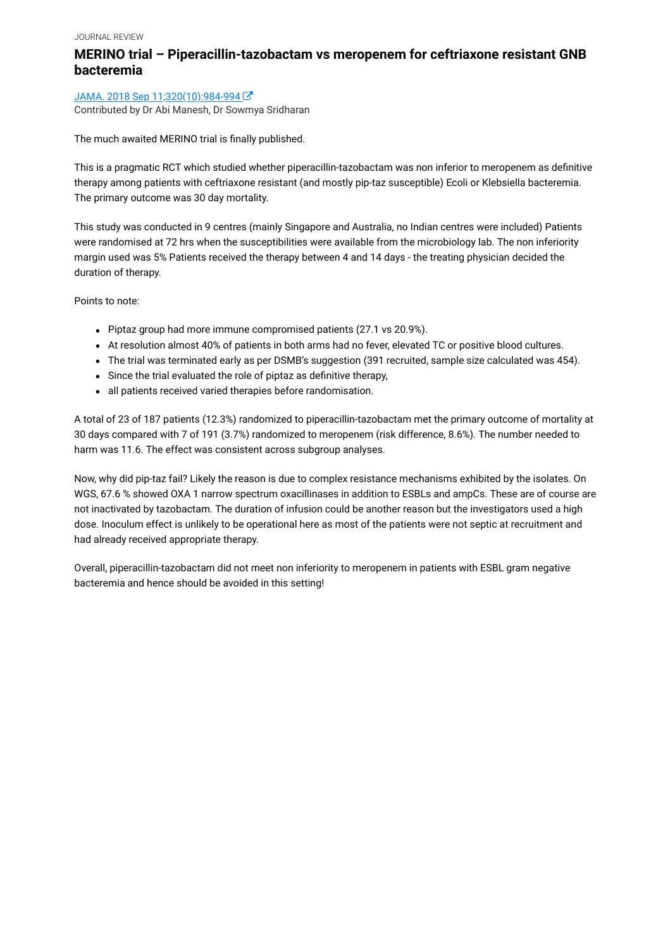### **MERINO trial – Piperacillin-tazobactam vs meropenem for ceftriaxone resistant GNB bacteremia**

#### JAMA. 2018 Sep 11;320(10):984-994

Contributed by Dr Abi Manesh, Dr Sowmya Sridharan

The much awaited MERINO trial is finally published.

This is a pragmatic RCT which studied whether piperacillin-tazobactam was non inferior to meropenem as definitive therapy among patients with ceftriaxone resistant (and mostly pip-taz susceptible) Ecoli or Klebsiella bacteremia. The primary outcome was 30 day mortality.

This study was conducted in 9 centres (mainly Singapore and Australia, no Indian centres were included) Patients were randomised at 72 hrs when the susceptibilities were available from the microbiology lab. The non inferiority margin used was 5% Patients received the therapy between 4 and 14 days - the treating physician decided the duration of therapy.

Points to note:

- Piptaz group had more immune compromised patients (27.1 vs 20.9%).
- At resolution almost 40% of patients in both arms had no fever, elevated TC or positive blood cultures.
- The trial was terminated early as per DSMB's suggestion (391 recruited, sample size calculated was 454).
- Since the trial evaluated the role of piptaz as definitive therapy,
- all patients received varied therapies before randomisation.

A total of 23 of 187 patients (12.3%) randomized to piperacillin-tazobactam met the primary outcome of mortality at 30 days compared with 7 of 191 (3.7%) randomized to meropenem (risk difference, 8.6%). The number needed to harm was 11.6. The effect was consistent across subgroup analyses.

Now, why did pip-taz fail? Likely the reason is due to complex resistance mechanisms exhibited by the isolates. On WGS, 67.6 % showed OXA 1 narrow spectrum oxacillinases in addition to ESBLs and ampCs. These are of course are not inactivated by tazobactam. The duration of infusion could be another reason but the investigators used a high dose. Inoculum effect is unlikely to be operational here as most of the patients were not septic at recruitment and had already received appropriate therapy.

Overall, piperacillin-tazobactam did not meet non inferiority to meropenem in patients with ESBL gram negative bacteremia and hence should be avoided in this setting!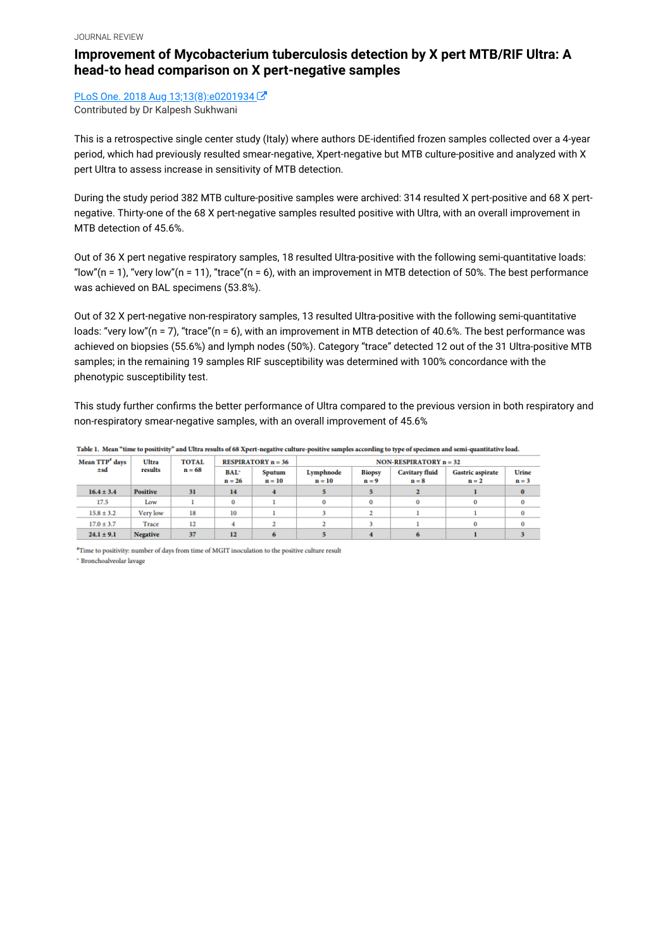### **Improvement of Mycobacterium tuberculosis detection by X pert MTB/RIF Ultra: A head-to head comparison on X pert-negative samples**

[PLoS One. 2018 Aug 13;13\(8\):e0201934](https://www.ncbi.nlm.nih.gov/pubmed/30102737) C Contributed by Dr Kalpesh Sukhwani

This is a retrospective single center study (Italy) where authors DE-identified frozen samples collected over a 4-year period, which had previously resulted smear-negative, Xpert-negative but MTB culture-positive and analyzed with X pert Ultra to assess increase in sensitivity of MTB detection.

During the study period 382 MTB culture-positive samples were archived: 314 resulted X pert-positive and 68 X pertnegative. Thirty-one of the 68 X pert-negative samples resulted positive with Ultra, with an overall improvement in MTB detection of 45.6%.

Out of 36 X pert negative respiratory samples, 18 resulted Ultra-positive with the following semi-quantitative loads: "low"(n = 1), "very low"(n = 11), "trace"(n = 6), with an improvement in MTB detection of 50%. The best performance was achieved on BAL specimens (53.8%).

Out of 32 X pert-negative non-respiratory samples, 13 resulted Ultra-positive with the following semi-quantitative loads: "very low"(n = 7), "trace"(n = 6), with an improvement in MTB detection of 40.6%. The best performance was achieved on biopsies (55.6%) and lymph nodes (50%). Category "trace" detected 12 out of the 31 Ultra-positive MTB samples; in the remaining 19 samples RIF susceptibility was determined with 100% concordance with the phenotypic susceptibility test.

This study further confirms the better performance of Ultra compared to the previous version in both respiratory and non-respiratory smear-negative samples, with an overall improvement of 45.6%

| Mean TTP <sup>®</sup> days | <b>Ultra</b><br>results | <b>TOTAL</b><br>$n = 68$ | <b>RESPIRATORY</b> $n = 36$ |                    | <b>NON-RESPIRATORY <math>n = 32</math></b> |                          |                                  |                                    |                  |
|----------------------------|-------------------------|--------------------------|-----------------------------|--------------------|--------------------------------------------|--------------------------|----------------------------------|------------------------------------|------------------|
| ±sd                        |                         |                          | <b>BAL*</b><br>$n = 26$     | Sputum<br>$n = 10$ | Lymphnode<br>$n = 10$                      | <b>Biopsy</b><br>$n = 9$ | <b>Cavitary fluid</b><br>$n = 8$ | <b>Gastric aspirate</b><br>$n = 2$ | Urine<br>$n = 3$ |
| $16.4 \pm 3.4$             | <b>Positive</b>         | 31                       | 14                          |                    |                                            |                          |                                  |                                    |                  |
| 17.5                       | Low                     |                          |                             |                    | 0                                          | 0                        |                                  |                                    | $\bf{0}$         |
| $15.8 \pm 3.2$             | Very low                | 18                       | 10                          |                    |                                            |                          |                                  |                                    | $\bf{0}$         |
| $17.0 \pm 3.7$             | Trace                   | 12                       |                             |                    |                                            |                          |                                  |                                    | $\bf{0}$         |
| $24.1 \pm 9.1$             | <b>Negative</b>         | 37                       | 12                          |                    |                                            |                          |                                  |                                    |                  |

Table 1. Mean "time to positivity" and Ultra results of 68 Xpert-negative culture-positive samples according to type of specimen and semi-quantitative load.

<sup>#</sup>Time to positivity: number of days from time of MGIT inoculation to the positive culture result \* Bronchoalveolar lavage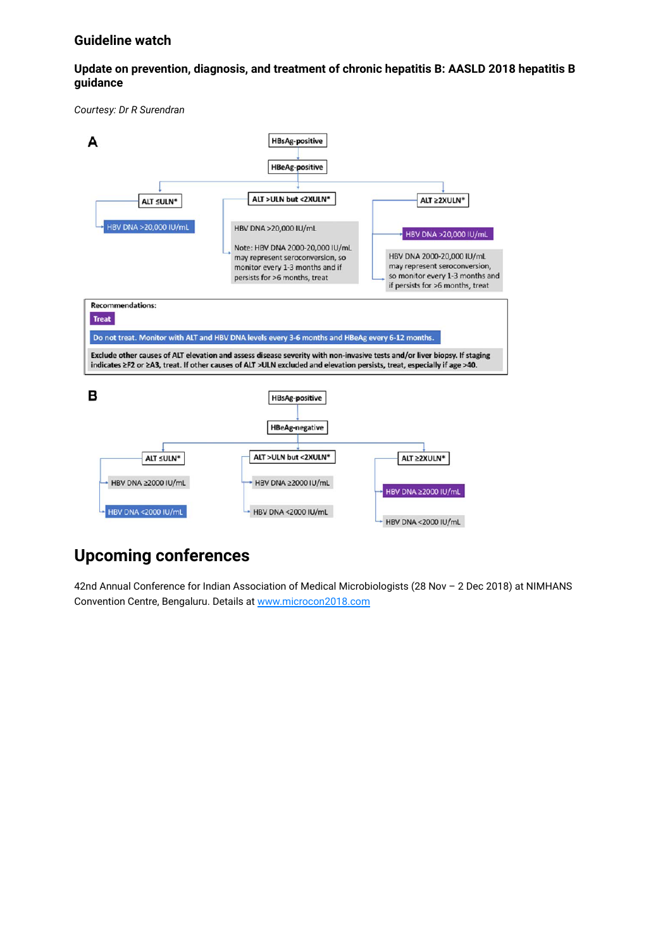#### **Guideline watch**

#### **Update on prevention, diagnosis, and treatment of chronic hepatitis B: AASLD 2018 hepatitis B guidance**

*Courtesy: Dr R Surendran*



# **Upcoming conferences**

42nd Annual Conference for Indian Association of Medical Microbiologists (28 Nov – 2 Dec 2018) at NIMHANS Convention Centre, Bengaluru. Details at [www.microcon2018.com](http://cidsindia.ramangaikwad.in/newsletter/2018/october/www.microcon2018.com)